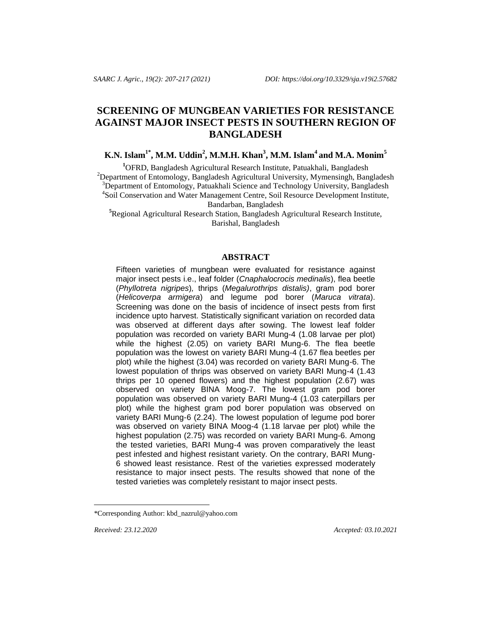# **SCREENING OF MUNGBEAN VARIETIES FOR RESISTANCE AGAINST MAJOR INSECT PESTS IN SOUTHERN REGION OF BANGLADESH**

**K.N. Islam1\* , M.M. Uddin<sup>2</sup> , M.M.H. Khan<sup>3</sup> , M.M. Islam<sup>4</sup> and M.A. Monim<sup>5</sup>**

**<sup>1</sup>**OFRD, Bangladesh Agricultural Research Institute, Patuakhali, Bangladesh  $^{2}$ Department of Entomology, Bangladesh Agricultural University, Mymensingh, Bangladesh <sup>3</sup>Department of Entomology, Patuakhali Science and Technology University, Bangladesh 4 Soil Conservation and Water Management Centre, Soil Resource Development Institute, Bandarban, Bangladesh

**<sup>5</sup>**Regional Agricultural Research Station, Bangladesh Agricultural Research Institute, Barishal, Bangladesh

#### **ABSTRACT**

Fifteen varieties of mungbean were evaluated for resistance against major insect pests i.e., leaf folder (*Cnaphalocrocis medinalis*), flea beetle (*Phyllotreta nigripes*)*,* thrips (*Megalurothrips distalis)*, gram pod borer (*Helicoverpa armigera*) and legume pod borer (*Maruca vitrata*). Screening was done on the basis of incidence of insect pests from first incidence upto harvest. Statistically significant variation on recorded data was observed at different days after sowing. The lowest leaf folder population was recorded on variety BARI Mung-4 (1.08 larvae per plot) while the highest (2.05) on variety BARI Mung-6. The flea beetle population was the lowest on variety BARI Mung-4 (1.67 flea beetles per plot) while the highest (3.04) was recorded on variety BARI Mung-6. The lowest population of thrips was observed on variety BARI Mung-4 (1.43 thrips per 10 opened flowers) and the highest population (2.67) was observed on variety BINA Moog-7. The lowest gram pod borer population was observed on variety BARI Mung-4 (1.03 caterpillars per plot) while the highest gram pod borer population was observed on variety BARI Mung-6 (2.24). The lowest population of legume pod borer was observed on variety BINA Moog-4 (1.18 larvae per plot) while the highest population (2.75) was recorded on variety BARI Mung-6. Among the tested varieties, BARI Mung-4 was proven comparatively the least pest infested and highest resistant variety. On the contrary, BARI Mung-6 showed least resistance. Rest of the varieties expressed moderately resistance to major insect pests. The results showed that none of the tested varieties was completely resistant to major insect pests.

l

*Received: 23.12.2020 Accepted: 03.10.2021*

<sup>\*</sup>Corresponding Author: [kbd\\_nazrul@yahoo.com](mailto:kbd_nazrul@yahoo.com)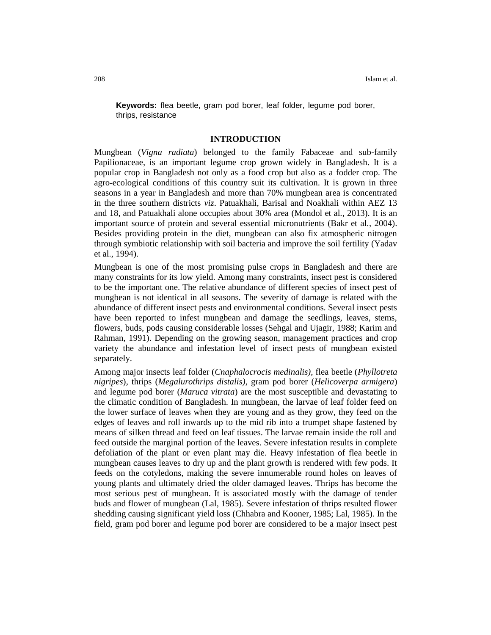**Keywords:** flea beetle, gram pod borer, leaf folder, legume pod borer, thrips, resistance

## **INTRODUCTION**

Mungbean (*Vigna radiata*) belonged to the family Fabaceae and sub-family Papilionaceae, is an important legume crop grown widely in Bangladesh. It is a popular crop in Bangladesh not only as a food crop but also as a fodder crop. The agro-ecological conditions of this country suit its cultivation. It is grown in three seasons in a year in Bangladesh and more than 70% mungbean area is concentrated in the three southern districts *viz*. Patuakhali, Barisal and Noakhali within AEZ 13 and 18, and Patuakhali alone occupies about 30% area (Mondol et al*.,* 2013). It is an important source of protein and several essential micronutrients (Bakr et al*.*, 2004). Besides providing protein in the diet, mungbean can also fix atmospheric nitrogen through symbiotic relationship with soil bacteria and improve the soil fertility (Yadav et al., 1994).

Mungbean is one of the most promising pulse crops in Bangladesh and there are many constraints for its low yield. Among many constraints, insect pest is considered to be the important one. The relative abundance of different species of insect pest of mungbean is not identical in all seasons. The severity of damage is related with the abundance of different insect pests and environmental conditions. Several insect pests have been reported to infest mungbean and damage the seedlings, leaves, stems, flowers, buds, pods causing considerable losses (Sehgal and Ujagir, 1988; Karim and Rahman, 1991). Depending on the growing season, management practices and crop variety the abundance and infestation level of insect pests of mungbean existed separately.

Among major insects leaf folder (*Cnaphalocrocis medinalis)*, flea beetle (*Phyllotreta nigripes*), thrips (*Megalurothrips distalis)*, gram pod borer (*Helicoverpa armigera*) and legume pod borer (*Maruca vitrata*) are the most susceptible and devastating to the climatic condition of Bangladesh. In mungbean, the larvae of leaf folder feed on the lower surface of leaves when they are young and as they grow, they feed on the edges of leaves and roll inwards up to the mid rib into a trumpet shape fastened by means of silken thread and feed on leaf tissues. The larvae remain inside the roll and feed outside the marginal portion of the leaves. Severe infestation results in complete defoliation of the plant or even plant may die. Heavy infestation of flea beetle in mungbean causes leaves to dry up and the plant growth is rendered with few pods. It feeds on the cotyledons, making the severe innumerable round holes on leaves of young plants and ultimately dried the older damaged leaves. Thrips has become the most serious pest of mungbean. It is associated mostly with the damage of tender buds and flower of mungbean (Lal, 1985). Severe infestation of thrips resulted flower shedding causing significant yield loss (Chhabra and Kooner, 1985; Lal, 1985). In the field, gram pod borer and legume pod borer are considered to be a major insect pest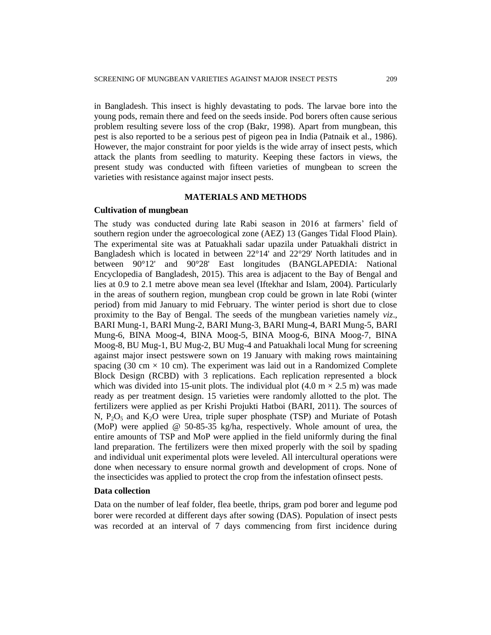in Bangladesh. This insect is highly devastating to pods. The larvae bore into the young pods, remain there and feed on the seeds inside. Pod borers often cause serious problem resulting severe loss of the crop (Bakr, 1998). Apart from mungbean, this pest is also reported to be a serious pest of pigeon pea in India (Patnaik et al., 1986). However, the major constraint for poor yields is the wide array of insect pests, which attack the plants from seedling to maturity. Keeping these factors in views, the present study was conducted with fifteen varieties of mungbean to screen the varieties with resistance against major insect pests.

#### **MATERIALS AND METHODS**

## **Cultivation of mungbean**

The study was conducted during late Rabi season in 2016 at farmers' field of southern region under the agroecological zone (AEZ) 13 (Ganges Tidal Flood Plain). The experimental site was at Patuakhali sadar upazila under Patuakhali district in Bangladesh which is located in between 22°14' and 22°29' North latitudes and in between 90°12' and 90°28' East longitudes (BANGLAPEDIA: National Encyclopedia of Bangladesh, 2015). This area is adjacent to the [Bay of Bengal](https://en.wikipedia.org/wiki/Bay_of_Bengal) and lies at 0.9 to 2.1 metre above mean sea level (Iftekhar and Islam, 2004). Particularly in the areas of southern region, mungbean crop could be grown in late Robi (winter period) from mid January to mid February. The winter period is short due to close proximity to the Bay of Bengal. The seeds of the mungbean varieties namely *viz*., BARI Mung-1, BARI Mung-2, BARI Mung-3, BARI Mung-4, BARI Mung-5, BARI Mung-6, BINA Moog-4, BINA Moog-5, BINA Moog-6, BINA Moog-7, BINA Moog-8, BU Mug-1, BU Mug-2, BU Mug-4 and Patuakhali local Mung for screening against major insect pestswere sown on 19 January with making rows maintaining spacing (30 cm  $\times$  10 cm). The experiment was laid out in a Randomized Complete Block Design (RCBD) with 3 replications. Each replication represented a block which was divided into 15-unit plots. The individual plot  $(4.0 \text{ m} \times 2.5 \text{ m})$  was made ready as per treatment design. 15 varieties were randomly allotted to the plot. The fertilizers were applied as per Krishi Projukti Hatboi (BARI, 2011). The sources of N,  $P_2O_5$  and K<sub>2</sub>O were Urea, triple super phosphate (TSP) and Muriate of Potash (MoP) were applied @ 50-85-35 kg/ha, respectively. Whole amount of urea, the entire amounts of TSP and MoP were applied in the field uniformly during the final land preparation. The fertilizers were then mixed properly with the soil by spading and individual unit experimental plots were leveled. All intercultural operations were done when necessary to ensure normal growth and development of crops. None of the insecticides was applied to protect the crop from the infestation ofinsect pests.

#### **Data collection**

Data on the number of leaf folder, flea beetle, thrips, gram pod borer and legume pod borer were recorded at different days after sowing (DAS). Population of insect pests was recorded at an interval of 7 days commencing from first incidence during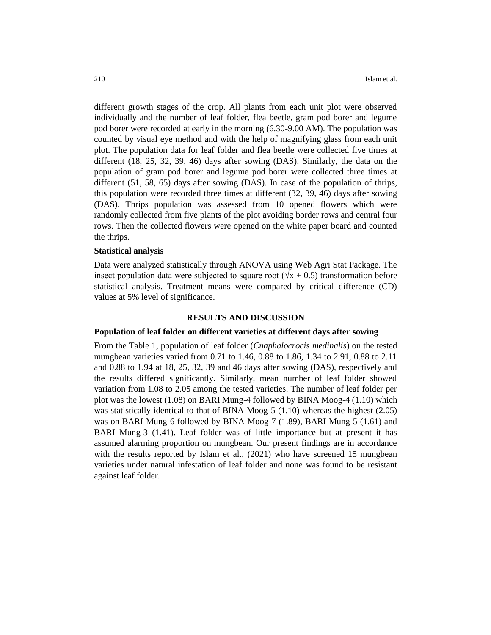different growth stages of the crop. All plants from each unit plot were observed individually and the number of leaf folder, flea beetle, gram pod borer and legume pod borer were recorded at early in the morning (6.30-9.00 AM). The population was counted by visual eye method and with the help of magnifying glass from each unit plot. The population data for leaf folder and flea beetle were collected five times at different (18, 25, 32, 39, 46) days after sowing (DAS). Similarly, the data on the population of gram pod borer and legume pod borer were collected three times at different (51, 58, 65) days after sowing (DAS). In case of the population of thrips, this population were recorded three times at different (32, 39, 46) days after sowing (DAS). Thrips population was assessed from 10 opened flowers which were randomly collected from five plants of the plot avoiding border rows and central four rows. Then the collected flowers were opened on the white paper board and counted the thrips.

# **Statistical analysis**

Data were analyzed statistically through ANOVA using Web Agri Stat Package. The insect population data were subjected to square root ( $\sqrt{x}$  + 0.5) transformation before statistical analysis. Treatment means were compared by critical difference (CD) values at 5% level of significance.

## **RESULTS AND DISCUSSION**

#### **Population of leaf folder on different varieties at different days after sowing**

From the Table 1, population of leaf folder (*Cnaphalocrocis medinalis*) on the tested mungbean varieties varied from 0.71 to 1.46, 0.88 to 1.86, 1.34 to 2.91, 0.88 to 2.11 and 0.88 to 1.94 at 18, 25, 32, 39 and 46 days after sowing (DAS), respectively and the results differed significantly. Similarly, mean number of leaf folder showed variation from 1.08 to 2.05 among the tested varieties. The number of leaf folder per plot was the lowest (1.08) on BARI Mung-4 followed by BINA Moog-4 (1.10) which was statistically identical to that of BINA Moog-5 (1.10) whereas the highest (2.05) was on BARI Mung-6 followed by BINA Moog-7 (1.89), BARI Mung-5 (1.61) and BARI Mung-3 (1.41). Leaf folder was of little importance but at present it has assumed alarming proportion on mungbean. Our present findings are in accordance with the results reported by Islam et al., (2021) who have screened 15 mungbean varieties under natural infestation of leaf folder and none was found to be resistant against leaf folder.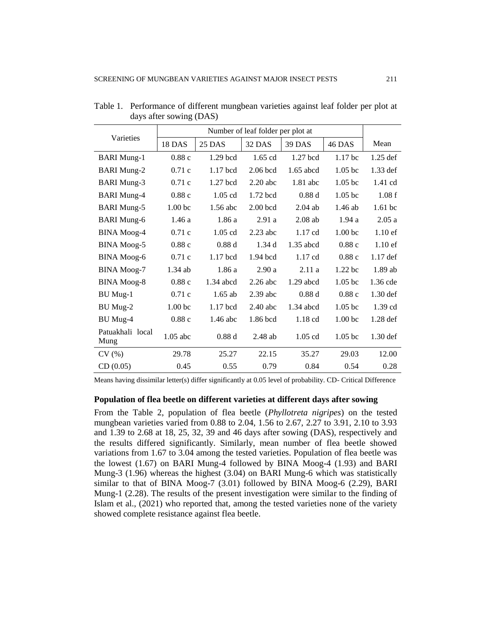|                          | Number of leaf folder per plot at |             |            |               |                    |                    |
|--------------------------|-----------------------------------|-------------|------------|---------------|--------------------|--------------------|
| Varieties                | 18 DAS                            | 25 DAS      | 32 DAS     | <b>39 DAS</b> | <b>46 DAS</b>      | Mean               |
| <b>BARI</b> Mung-1       | 0.88c                             | $1.29$ bcd  | $1.65$ cd  | $1.27$ bcd    | 1.17 <sub>bc</sub> | $1.25$ def         |
| <b>BARI</b> Mung-2       | 0.71c                             | $1.17$ bcd  | $2.06$ bcd | $1.65$ abcd   | 1.05 bc            | 1.33 def           |
| <b>BARI</b> Mung-3       | 0.71c                             | $1.27$ bcd  | $2.20$ abc | $1.81$ abc    | 1.05 <sub>bc</sub> | 1.41 cd            |
| <b>BARI</b> Mung-4       | 0.88c                             | 1.05 cd     | 1.72 bcd   | 0.88d         | $1.05$ bc          | 1.08f              |
| <b>BARI</b> Mung-5       | 1.00 <sub>bc</sub>                | 1.56 abc    | $2.00$ bcd | $2.04$ ab     | $1.46$ ab          | 1.61 <sub>bc</sub> |
| <b>BARI</b> Mung-6       | 1.46a                             | 1.86a       | 2.91a      | $2.08$ ab     | 1.94a              | 2.05a              |
| <b>BINA</b> Moog-4       | 0.71c                             | $1.05$ cd   | $2.23$ abc | $1.17$ cd     | 1.00 <sub>bc</sub> | $1.10$ ef          |
| <b>BINA</b> Moog-5       | 0.88c                             | 0.88d       | 1.34d      | 1.35 abcd     | 0.88c              | $1.10$ ef          |
| <b>BINA</b> Moog-6       | 0.71c                             | $1.17$ bcd  | $1.94$ bcd | $1.17$ cd     | 0.88c              | $1.17$ def         |
| <b>BINA</b> Moog-7       | $1.34$ ab                         | 1.86a       | 2.90a      | 2.11a         | 1.22 <sub>bc</sub> | 1.89 ab            |
| <b>BINA</b> Moog-8       | 0.88c                             | $1.34$ abcd | $2.26$ abc | $1.29$ abcd   | 1.05 <sub>bc</sub> | 1.36 cde           |
| BU Mug-1                 | 0.71c                             | $1.65$ ab   | $2.39$ abc | 0.88d         | 0.88c              | $1.30$ def         |
| BU Mug-2                 | 1.00 <sub>bc</sub>                | $1.17$ bcd  | $2.40$ abc | $1.34$ abcd   | 1.05 <sub>bc</sub> | $1.39$ cd          |
| <b>BU</b> Mug-4          | 0.88c                             | $1.46$ abc  | 1.86 bcd   | $1.18$ cd     | 1.00 <sub>bc</sub> | $1.28$ def         |
| Patuakhali local<br>Mung | $1.05$ abc                        | 0.88d       | $2.48$ ab  | $1.05$ cd     | 1.05 <sub>bc</sub> | $1.30$ def         |
| CV(%)                    | 29.78                             | 25.27       | 22.15      | 35.27         | 29.03              | 12.00              |
| CD(0.05)                 | 0.45                              | 0.55        | 0.79       | 0.84          | 0.54               | 0.28               |

Table 1. Performance of different mungbean varieties against leaf folder per plot at days after sowing (DAS)

Means having dissimilar letter(s) differ significantly at 0.05 level of probability. CD- Critical Difference

# **Population of flea beetle on different varieties at different days after sowing**

From the Table 2, population of flea beetle (*Phyllotreta nigripes*) on the tested mungbean varieties varied from 0.88 to 2.04, 1.56 to 2.67, 2.27 to 3.91, 2.10 to 3.93 and 1.39 to 2.68 at 18, 25, 32, 39 and 46 days after sowing (DAS), respectively and the results differed significantly. Similarly, mean number of flea beetle showed variations from 1.67 to 3.04 among the tested varieties. Population of flea beetle was the lowest (1.67) on BARI Mung-4 followed by BINA Moog-4 (1.93) and BARI Mung-3 (1.96) whereas the highest (3.04) on BARI Mung-6 which was statistically similar to that of BINA Moog-7 (3.01) followed by BINA Moog-6 (2.29), BARI Mung-1 (2.28). The results of the present investigation were similar to the finding of Islam et al., (2021) who reported that, among the tested varieties none of the variety showed complete resistance against flea beetle.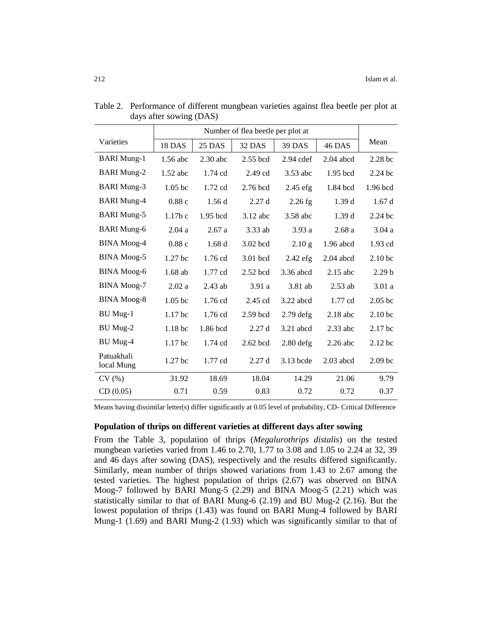|                          | Number of flea beetle per plot at |            |            |               |             |                    |
|--------------------------|-----------------------------------|------------|------------|---------------|-------------|--------------------|
| Varieties                | <b>18 DAS</b>                     | 25 DAS     | 32 DAS     | <b>39 DAS</b> | 46 DAS      | Mean               |
| <b>BARI</b> Mung-1       | 1.56 abc                          | $2.30$ abc | 2.55 bcd   | $2.94$ cdef   | $2.04$ abcd | 2.28 <sub>bc</sub> |
| <b>BARI</b> Mung-2       | $1.52$ abc                        | $1.74$ cd  | $2.49$ cd  | 3.53 abc      | 1.95 bcd    | $2.24$ bc          |
| <b>BARI</b> Mung-3       | 1.05 <sub>b</sub>                 | $1.72$ cd  | $2.76$ bcd | $2.45$ efg    | 1.84 bcd    | $1.96$ bcd         |
| <b>BARI</b> Mung-4       | 0.88c                             | 1.56d      | 2.27d      | $2.26$ fg     | 1.39d       | 1.67d              |
| <b>BARI</b> Mung-5       | $1.17b$ c                         | $1.95$ bcd | $3.12$ abc | 3.58 abc      | 1.39d       | $2.24$ bc          |
| <b>BARI</b> Mung-6       | 2.04a                             | 2.67a      | 3.33 ab    | 3.93a         | 2.68a       | 3.04a              |
| <b>BINA</b> Moog-4       | 0.88c                             | 1.68d      | 3.02 bcd   | 2.10 g        | $1.96$ abcd | 1.93 cd            |
| <b>BINA</b> Moog-5       | 1.27 <sub>bc</sub>                | $1.76$ cd  | 3.01 bcd   | $2.42$ efg    | $2.04$ abcd | 2.10 <sub>bc</sub> |
| <b>BINA</b> Moog-6       | $1.68$ ab                         | $1.77$ cd  | $2.52$ bcd | 3.36 abcd     | $2.15$ abc  | 2.29 <sub>b</sub>  |
| <b>BINA</b> Moog-7       | 2.02a                             | $2.43$ ab  | 3.91a      | 3.81 ab       | $2.53$ ab   | 3.01a              |
| <b>BINA</b> Moog-8       | 1.05 <sub>b</sub>                 | 1.76 cd    | $2.45$ cd  | $3.22$ abcd   | $1.77$ cd   | 2.05 <sub>b</sub>  |
| <b>BU</b> Mug-1          | 1.17 bc                           | 1.76 cd    | $2.59$ bcd | $2.79$ defg   | $2.18$ abc  | 2.10 <sub>bc</sub> |
| BU Mug-2                 | 1.18 <sub>bc</sub>                | 1.86 bcd   | 2.27d      | $3.21$ abcd   | $2.33$ abc  | 2.17 bc            |
| BU Mug-4                 | 1.17 bc                           | $1.74$ cd  | 2.62 bcd   | $2.80$ defg   | $2.26$ abc  | $2.12$ bc          |
| Patuakhali<br>local Mung | 1.27 <sub>bc</sub>                | $1.77$ cd  | 2.27d      | 3.13 bcde     | $2.03$ abcd | 2.09 <sub>bc</sub> |
| CV(%)                    | 31.92                             | 18.69      | 18.04      | 14.29         | 21.06       | 9.79               |
| CD(0.05)                 | 0.71                              | 0.59       | 0.83       | 0.72          | 0.72        | 0.37               |

Table 2. Performance of different mungbean varieties against flea beetle per plot at days after sowing (DAS)

Means having dissimilar letter(s) differ significantly at 0.05 level of probability, CD- Critical Difference

## **Population of thrips on different varieties at different days after sowing**

From the Table 3, population of thrips (*Megalurothrips distalis*) on the tested mungbean varieties varied from 1.46 to 2.70, 1.77 to 3.08 and 1.05 to 2.24 at 32, 39 and 46 days after sowing (DAS), respectively and the results differed significantly. Similarly, mean number of thrips showed variations from 1.43 to 2.67 among the tested varieties. The highest population of thrips (2.67) was observed on BINA Moog-7 followed by BARI Mung-5 (2.29) and BINA Moog-5 (2.21) which was statistically similar to that of BARI Mung-6 (2.19) and BU Mug-2 (2.16). But the lowest population of thrips (1.43) was found on BARI Mung-4 followed by BARI Mung-1 (1.69) and BARI Mung-2 (1.93) which was significantly similar to that of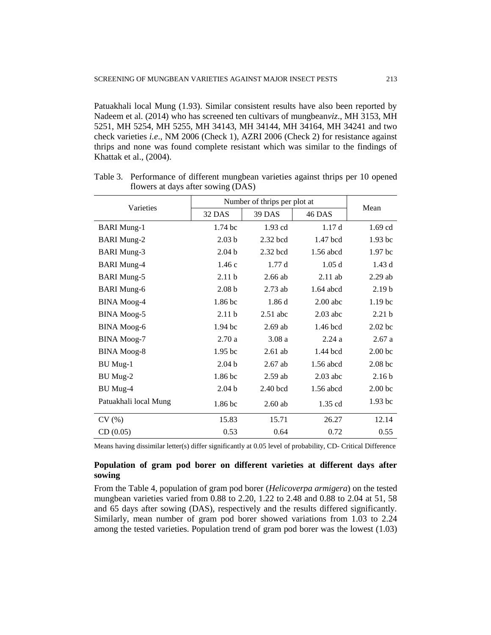Patuakhali local Mung (1.93). Similar consistent results have also been reported by Nadeem et al. (2014) who has screened ten cultivars of mungbean*viz*., MH 3153, MH 5251, MH 5254, MH 5255, MH 34143, MH 34144, MH 34164, MH 34241 and two check varieties *i.e*., NM 2006 (Check 1), AZRI 2006 (Check 2) for resistance against thrips and none was found complete resistant which was similar to the findings of Khattak et al., (2004).

|                       | Number of thrips per plot at |            |             |                    |
|-----------------------|------------------------------|------------|-------------|--------------------|
| Varieties             | 32 DAS                       | 39 DAS     | 46 DAS      | Mean               |
| <b>BARI</b> Mung-1    | 1.74 <sub>bc</sub>           | $1.93$ cd  | 1.17d       | $1.69$ cd          |
| <b>BARI</b> Mung-2    | 2.03 <sub>b</sub>            | $2.32$ bcd | 1.47 bcd    | 1.93 <sub>bc</sub> |
| <b>BARI</b> Mung-3    | 2.04 <sub>b</sub>            | 2.32 bcd   | 1.56 abcd   | 1.97 <sub>bc</sub> |
| <b>BARI</b> Mung-4    | 1.46c                        | 1.77d      | 1.05d       | 1.43d              |
| <b>BARI</b> Mung-5    | 2.11 <sub>b</sub>            | $2.66$ ab  | $2.11$ ab   | $2.29$ ab          |
| <b>BARI</b> Mung-6    | 2.08 <sub>b</sub>            | $2.73$ ab  | $1.64$ abcd | 2.19 <sub>b</sub>  |
| <b>BINA</b> Moog-4    | 1.86 bc                      | 1.86d      | $2.00$ abc  | 1.19 <sub>bc</sub> |
| <b>BINA</b> Moog-5    | 2.11 <sub>b</sub>            | $2.51$ abc | $2.03$ abc  | 2.21 <sub>b</sub>  |
| <b>BINA</b> Moog-6    | 1.94 <sub>bc</sub>           | $2.69$ ab  | 1.46 bcd    | $2.02$ bc          |
| <b>BINA Moog-7</b>    | 2.70a                        | 3.08a      | 2.24a       | 2.67a              |
| <b>BINA</b> Moog-8    | 1.95 <sub>bc</sub>           | $2.61$ ab  | 1.44 bcd    | 2.00 <sub>bc</sub> |
| BU Mug-1              | 2.04 <sub>b</sub>            | $2.67$ ab  | 1.56 abcd   | $2.08$ bc          |
| BU Mug-2              | 1.86 bc                      | $2.59$ ab  | $2.03$ abc  | 2.16 <sub>b</sub>  |
| BU Mug-4              | 2.04 <sub>b</sub>            | $2.40$ bcd | $1.56$ abcd | 2.00 <sub>bc</sub> |
| Patuakhali local Mung | 1.86 bc                      | $2.60$ ab  | 1.35 cd     | 1.93 <sub>bc</sub> |
| CV(%)                 | 15.83                        | 15.71      | 26.27       | 12.14              |
| CD(0.05)              | 0.53                         | 0.64       | 0.72        | 0.55               |

Table 3. Performance of different mungbean varieties against thrips per 10 opened flowers at days after sowing (DAS)

Means having dissimilar letter(s) differ significantly at 0.05 level of probability, CD- Critical Difference

# **Population of gram pod borer on different varieties at different days after sowing**

From the Table 4, population of gram pod borer (*Helicoverpa armigera*) on the tested mungbean varieties varied from 0.88 to 2.20, 1.22 to 2.48 and 0.88 to 2.04 at 51, 58 and 65 days after sowing (DAS), respectively and the results differed significantly. Similarly, mean number of gram pod borer showed variations from 1.03 to 2.24 among the tested varieties. Population trend of gram pod borer was the lowest (1.03)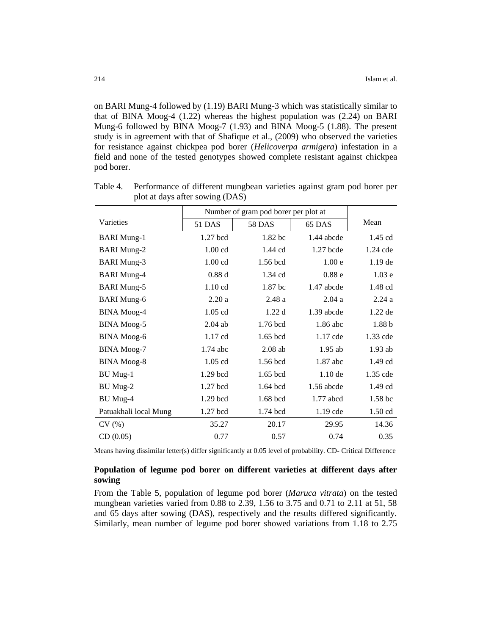on BARI Mung-4 followed by (1.19) BARI Mung-3 which was statistically similar to that of BINA Moog-4 (1.22) whereas the highest population was (2.24) on BARI Mung-6 followed by BINA Moog-7 (1.93) and BINA Moog-5 (1.88). The present study is in agreement with that of Shafique et al., (2009) who observed the varieties for resistance against chickpea pod borer (*Helicoverpa armigera*) infestation in a field and none of the tested genotypes showed complete resistant against chickpea pod borer.

|                       | Number of gram pod borer per plot at |               |                   |                    |
|-----------------------|--------------------------------------|---------------|-------------------|--------------------|
| Varieties             | 51 DAS                               | <b>58 DAS</b> | 65 DAS            | Mean               |
| <b>BARI</b> Mung-1    | 1.27 bcd                             | 1.82 bc       | 1.44 abcde        | $1.45$ cd          |
| <b>BARI Mung-2</b>    | $1.00$ cd                            | $1.44$ cd     | $1.27$ bcde       | $1.24$ cde         |
| <b>BARI</b> Mung-3    | $1.00$ cd                            | 1.56 bcd      | 1.00 <sub>e</sub> | $1.19$ de          |
| <b>BARI</b> Mung-4    | 0.88d                                | $1.34$ cd     | 0.88 <sub>e</sub> | 1.03 <sub>e</sub>  |
| <b>BARI</b> Mung-5    | $1.10 \text{ cd}$                    | 1.87 bc       | 1.47 abcde        | 1.48 cd            |
| <b>BARI</b> Mung-6    | 2.20a                                | 2.48a         | 2.04a             | 2.24a              |
| <b>BINA</b> Moog-4    | 1.05 cd                              | 1.22d         | 1.39 abcde        | $1.22$ de          |
| <b>BINA</b> Moog-5    | $2.04$ ab                            | 1.76 bcd      | 1.86 abc          | 1.88 <sub>b</sub>  |
| <b>BINA</b> Moog-6    | 1.17 cd                              | $1.65$ bcd    | 1.17 cde          | 1.33 cde           |
| <b>BINA</b> Moog-7    | $1.74$ abc                           | $2.08$ ab     | $1.95$ ab         | $1.93$ ab          |
| <b>BINA</b> Moog-8    | $1.05$ cd                            | 1.56 bcd      | 1.87 abc          | $1.49$ cd          |
| BU Mug-1              | 1.29 bcd                             | $1.65$ bcd    | $1.10$ de         | 1.35 cde           |
| BU Mug-2              | 1.27 bcd                             | 1.64 bcd      | 1.56 abcde        | $1.49$ cd          |
| BU Mug-4              | 1.29 bcd                             | $1.68$ bcd    | $1.77$ abcd       | 1.58 <sub>bc</sub> |
| Patuakhali local Mung | $1.27$ bcd                           | 1.74 bcd      | $1.19$ cde        | $1.50$ cd          |
| CV(%)                 | 35.27                                | 20.17         | 29.95             | 14.36              |
| CD(0.05)              | 0.77                                 | 0.57          | 0.74              | 0.35               |

Table 4. Performance of different mungbean varieties against gram pod borer per plot at days after sowing (DAS)

Means having dissimilar letter(s) differ significantly at 0.05 level of probability. CD- Critical Difference

# **Population of legume pod borer on different varieties at different days after sowing**

From the Table 5, population of legume pod borer (*Maruca vitrata*) on the tested mungbean varieties varied from 0.88 to 2.39, 1.56 to 3.75 and 0.71 to 2.11 at 51, 58 and 65 days after sowing (DAS), respectively and the results differed significantly. Similarly, mean number of legume pod borer showed variations from 1.18 to 2.75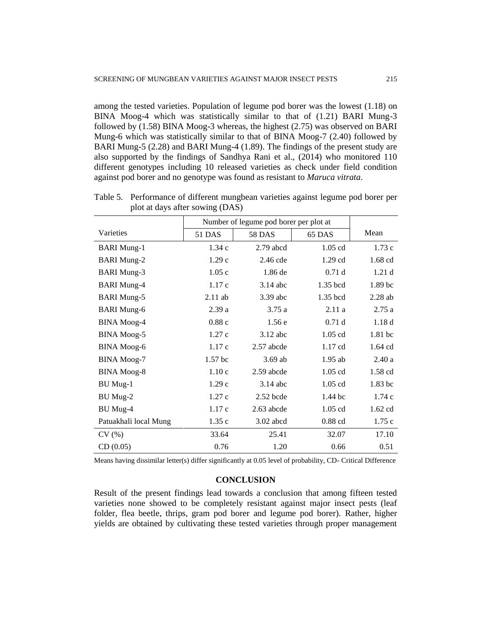among the tested varieties. Population of legume pod borer was the lowest (1.18) on BINA Moog-4 which was statistically similar to that of (1.21) BARI Mung-3 followed by (1.58) BINA Moog-3 whereas, the highest (2.75) was observed on BARI Mung-6 which was statistically similar to that of BINA Moog-7 (2.40) followed by BARI Mung-5 (2.28) and BARI Mung-4 (1.89). The findings of the present study are also supported by the findings of Sandhya Rani et al., (2014) who monitored 110 different genotypes including 10 released varieties as check under field condition against pod borer and no genotype was found as resistant to *Maruca vitrata*.

|                       | Number of legume pod borer per plot at |               |            |                   |
|-----------------------|----------------------------------------|---------------|------------|-------------------|
| Varieties             | 51 DAS                                 | <b>58 DAS</b> | 65 DAS     | Mean              |
| <b>BARI</b> Mung-1    | 1.34c                                  | $2.79$ abcd   | $1.05$ cd  | 1.73c             |
| <b>BARI</b> Mung-2    | 1.29c                                  | $2.46$ cde    | $1.29$ cd  | $1.68$ cd         |
| <b>BARI</b> Mung-3    | 1.05c                                  | 1.86 de       | 0.71d      | 1.21 <sub>d</sub> |
| <b>BARI</b> Mung-4    | 1.17c                                  | $3.14$ abc    | 1.35 bcd   | 1.89 bc           |
| <b>BARI</b> Mung-5    | $2.11$ ab                              | 3.39 abc      | $1.35$ bcd | $2.28$ ab         |
| <b>BARI</b> Mung-6    | 2.39a                                  | 3.75a         | 2.11a      | 2.75a             |
| <b>BINA</b> Moog-4    | 0.88c                                  | 1.56e         | 0.71d      | 1.18d             |
| <b>BINA</b> Moog-5    | 1.27c                                  | $3.12$ abc    | $1.05$ cd  | 1.81 bc           |
| <b>BINA</b> Moog-6    | 1.17c                                  | 2.57 abcde    | 1.17 cd    | 1.64 cd           |
| <b>BINA</b> Moog-7    | 1.57 <sub>bc</sub>                     | $3.69$ ab     | $1.95$ ab  | 2.40a             |
| <b>BINA</b> Moog-8    | 1.10c                                  | 2.59 abcde    | $1.05$ cd  | 1.58 cd           |
| BU Mug-1              | 1.29c                                  | $3.14$ abc    | 1.05 cd    | 1.83 bc           |
| BU Mug-2              | 1.27c                                  | $2.52$ bcde   | $1.44$ bc  | 1.74c             |
| BU Mug-4              | 1.17c                                  | $2.63$ abcde  | $1.05$ cd  | $1.62$ cd         |
| Patuakhali local Mung | 1.35c                                  | $3.02$ abcd   | $0.88$ cd  | 1.75c             |
| CV(%)                 | 33.64                                  | 25.41         | 32.07      | 17.10             |
| CD(0.05)              | 0.76                                   | 1.20          | 0.66       | 0.51              |

Table 5. Performance of different mungbean varieties against legume pod borer per plot at days after sowing (DAS)

Means having dissimilar letter(s) differ significantly at 0.05 level of probability, CD- Critical Difference

## **CONCLUSION**

Result of the present findings lead towards a conclusion that among fifteen tested varieties none showed to be completely resistant against major insect pests (leaf folder, flea beetle, thrips, gram pod borer and legume pod borer). Rather, higher yields are obtained by cultivating these tested varieties through proper management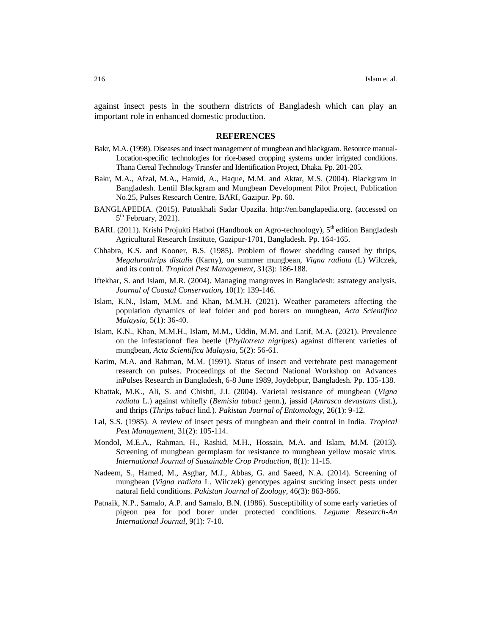against insect pests in the southern districts of Bangladesh which can play an important role in enhanced domestic production.

#### **REFERENCES**

- Bakr, M.A. (1998). Diseases and insect management of mungbean and blackgram. Resource manual-Location-specific technologies for rice-based cropping systems under irrigated conditions. Thana Cereal Technology Transfer and Identification Project, Dhaka. Pp. 201-205.
- Bakr, M.A., Afzal, M.A., Hamid, A., Haque, M.M. and Aktar, M.S. (2004). Blackgram in Bangladesh. Lentil Blackgram and Mungbean Development Pilot Project, Publication No.25, Pulses Research Centre, BARI, Gazipur. Pp. 60.
- BANGLAPEDIA. (2015). Patuakhali Sadar Upazila. http://en.banglapedia.org. (accessed on  $5<sup>th</sup>$  February, 2021).
- BARI. (2011). Krishi Projukti Hatboi (Handbook on Agro-technology),  $5<sup>th</sup>$  edition Bangladesh Agricultural Research Institute, Gazipur-1701, Bangladesh. Pp. 164-165.
- Chhabra, K.S. and Kooner, B.S. (1985). Problem of flower shedding caused by thrips, *Megalurothrips distalis* (Karny), on summer mungbean, *Vigna radiata* (L) Wilczek, and its control. *Tropical Pest Management,* 31(3): 186-188.
- Iftekhar, S. and Islam, M.R. (2004). Managing mangroves in Bangladesh: astrategy analysis. *Journal of Coastal Conservation,* 10(1): 139-146.
- Islam, K.N., Islam, M.M. and Khan, M.M.H. (2021). Weather parameters affecting the population dynamics of leaf folder and pod borers on mungbean, *Acta Scientifica Malaysia,* 5(1): 36-40.
- Islam, K.N., Khan, M.M.H., Islam, M.M., Uddin, M.M. and Latif, M.A. (2021). Prevalence on the infestationof flea beetle (*Phyllotreta nigripes*) against different varieties of mungbean, *Acta Scientifica Malaysia,* 5(2): 56-61.
- Karim, M.A. and Rahman, M.M. (1991). Status of insect and vertebrate pest management research on pulses. Proceedings of the Second National Workshop on Advances inPulses Research in Bangladesh, 6-8 June 1989, Joydebpur, Bangladesh. Pp. 135-138.
- Khattak, M.K., Ali, S. and Chishti, J.I. (2004). Varietal resistance of mungbean (*Vigna radiata* L.) against whitefly (*Bemisia tabaci* genn.), jassid (*Amrasca devastans* dist.), and thrips (*Thrips tabaci* lind.). *Pakistan Journal of Entomology,* 26(1): 9-12.
- Lal, S.S. (1985). A review of insect pests of mungbean and their control in India. *Tropical Pest Management*, 31(2): 105-114.
- Mondol, M.E.A., Rahman, H., Rashid, M.H., Hossain, M.A. and Islam, M.M. (2013). Screening of mungbean germplasm for resistance to mungbean yellow mosaic virus. *International Journal of Sustainable Crop Production*, 8(1): 11-15.
- Nadeem, S., Hamed, M., Asghar, M.J., Abbas, G. and Saeed, N.A. (2014). Screening of mungbean (*Vigna radiata* L. Wilczek) genotypes against sucking insect pests under natural field conditions. *Pakistan Journal of Zoology*, 46(3): 863-866.
- Patnaik, N.P., Samalo, A.P. and Samalo, B.N. (1986). Susceptibility of some early varieties of pigeon pea for pod borer under protected conditions*. Legume Research-An International Journal,* 9(1): 7-10.